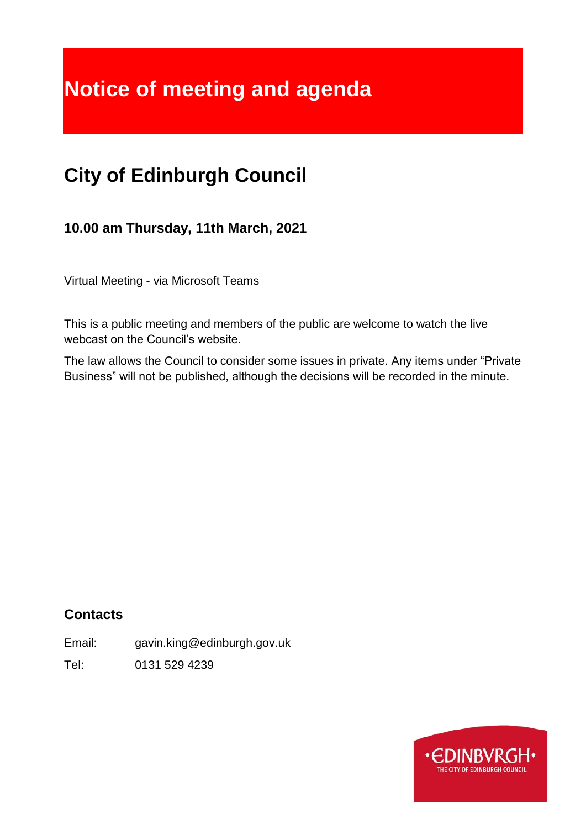# **Notice of meeting and agenda**

## **City of Edinburgh Council**

**10.00 am Thursday, 11th March, 2021**

Virtual Meeting - via Microsoft Teams

This is a public meeting and members of the public are welcome to watch the live webcast on the Council's website.

The law allows the Council to consider some issues in private. Any items under "Private Business" will not be published, although the decisions will be recorded in the minute.

## **Contacts**

Email: gavin.king@edinburgh.gov.uk

Tel: 0131 529 4239

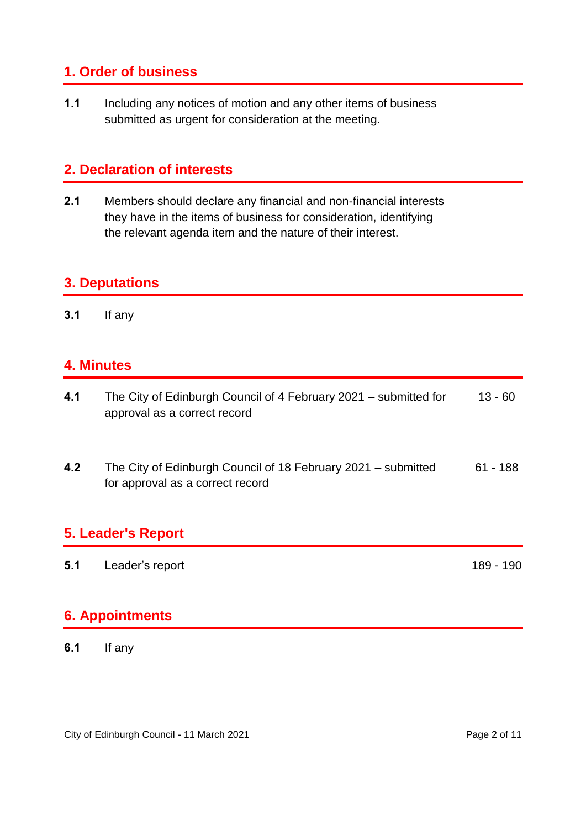## **1. Order of business**

**1.1** Including any notices of motion and any other items of business submitted as urgent for consideration at the meeting.

## **2. Declaration of interests**

**2.1** Members should declare any financial and non-financial interests they have in the items of business for consideration, identifying the relevant agenda item and the nature of their interest.

## **3. Deputations**

**3.1** If any

#### **4. Minutes**

- **4.1** The City of Edinburgh Council of 4 February 2021 submitted for approval as a correct record 13 - 60
- **4.2** The City of Edinburgh Council of 18 February 2021 submitted for approval as a correct record 61 - 188

## **5. Leader's Report**

| 5.1 | Leader's report | 189 - 190 |
|-----|-----------------|-----------|
|     |                 |           |

#### **6. Appointments**

**6.1** If any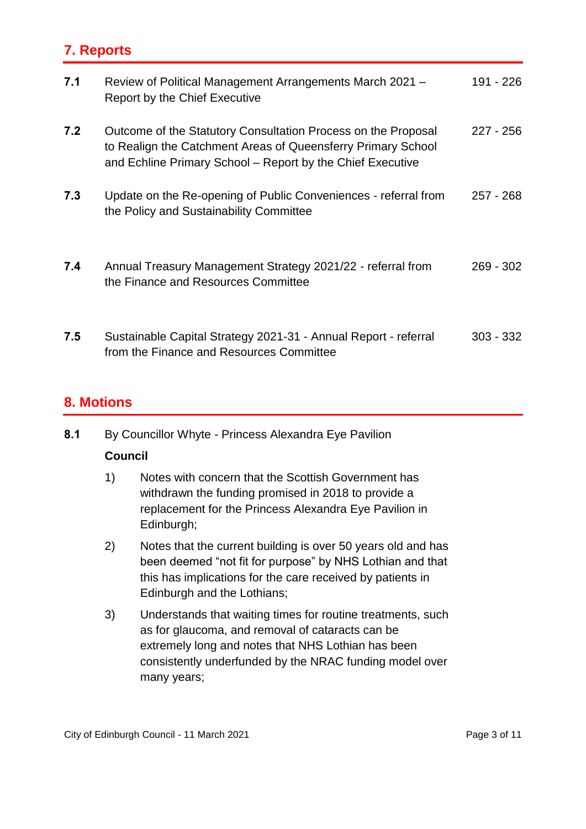## **7. Reports**

| 7.1 | Review of Political Management Arrangements March 2021 -<br><b>Report by the Chief Executive</b>                                                                                            | 191 - 226   |
|-----|---------------------------------------------------------------------------------------------------------------------------------------------------------------------------------------------|-------------|
| 7.2 | Outcome of the Statutory Consultation Process on the Proposal<br>to Realign the Catchment Areas of Queensferry Primary School<br>and Echline Primary School – Report by the Chief Executive | $227 - 256$ |
| 7.3 | Update on the Re-opening of Public Conveniences - referral from<br>the Policy and Sustainability Committee                                                                                  | $257 - 268$ |
| 7.4 | Annual Treasury Management Strategy 2021/22 - referral from<br>the Finance and Resources Committee                                                                                          | $269 - 302$ |
| 7.5 | Sustainable Capital Strategy 2021-31 - Annual Report - referral<br>from the Finance and Resources Committee                                                                                 | $303 - 332$ |

#### **8. Motions**

**8.1** By Councillor Whyte - Princess Alexandra Eye Pavilion

#### **Council**

- 1) Notes with concern that the Scottish Government has withdrawn the funding promised in 2018 to provide a replacement for the Princess Alexandra Eye Pavilion in Edinburgh;
- 2) Notes that the current building is over 50 years old and has been deemed "not fit for purpose" by NHS Lothian and that this has implications for the care received by patients in Edinburgh and the Lothians;
- 3) Understands that waiting times for routine treatments, such as for glaucoma, and removal of cataracts can be extremely long and notes that NHS Lothian has been consistently underfunded by the NRAC funding model over many years;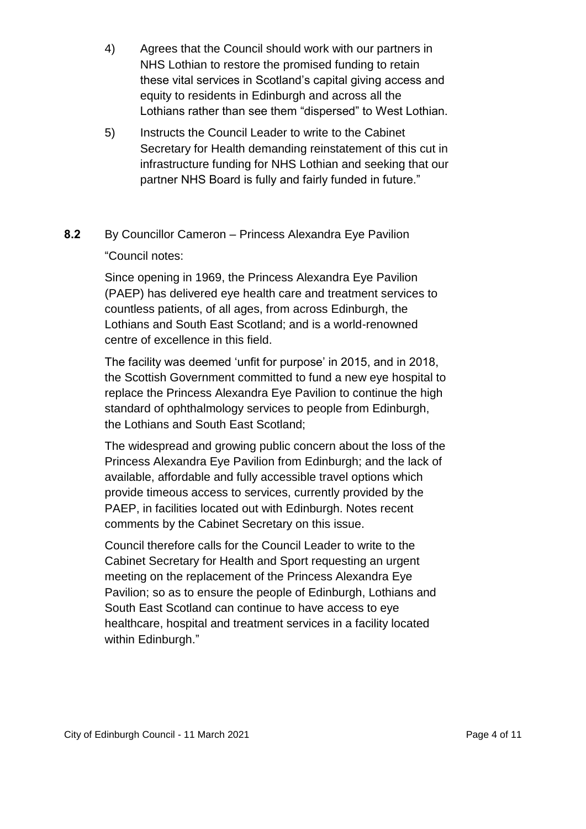- 4) Agrees that the Council should work with our partners in NHS Lothian to restore the promised funding to retain these vital services in Scotland's capital giving access and equity to residents in Edinburgh and across all the Lothians rather than see them "dispersed" to West Lothian.
- 5) Instructs the Council Leader to write to the Cabinet Secretary for Health demanding reinstatement of this cut in infrastructure funding for NHS Lothian and seeking that our partner NHS Board is fully and fairly funded in future."

## **8.2** By Councillor Cameron – Princess Alexandra Eye Pavilion "Council notes:

Since opening in 1969, the Princess Alexandra Eye Pavilion (PAEP) has delivered eye health care and treatment services to countless patients, of all ages, from across Edinburgh, the Lothians and South East Scotland; and is a world-renowned centre of excellence in this field.

The facility was deemed 'unfit for purpose' in 2015, and in 2018, the Scottish Government committed to fund a new eye hospital to replace the Princess Alexandra Eye Pavilion to continue the high standard of ophthalmology services to people from Edinburgh, the Lothians and South East Scotland;

The widespread and growing public concern about the loss of the Princess Alexandra Eye Pavilion from Edinburgh; and the lack of available, affordable and fully accessible travel options which provide timeous access to services, currently provided by the PAEP, in facilities located out with Edinburgh. Notes recent comments by the Cabinet Secretary on this issue.

Council therefore calls for the Council Leader to write to the Cabinet Secretary for Health and Sport requesting an urgent meeting on the replacement of the Princess Alexandra Eye Pavilion; so as to ensure the people of Edinburgh, Lothians and South East Scotland can continue to have access to eye healthcare, hospital and treatment services in a facility located within Edinburgh."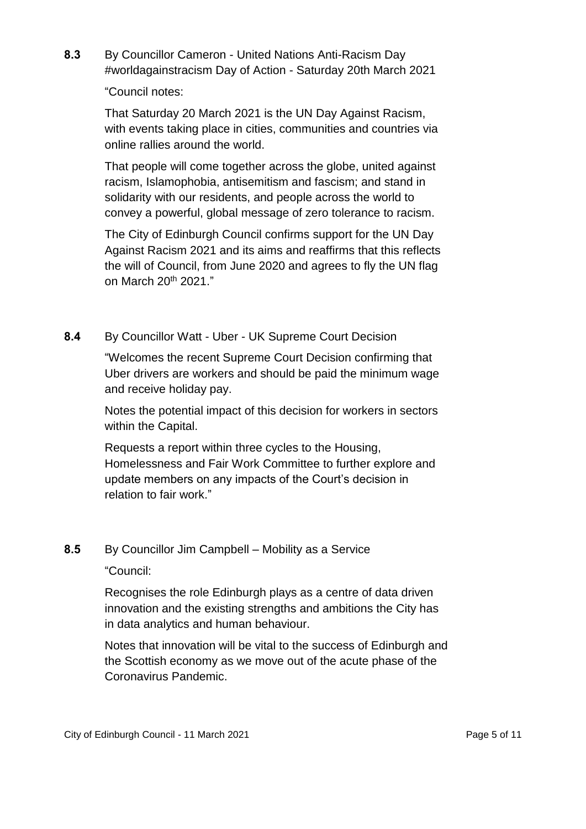**8.3** By Councillor Cameron - United Nations Anti-Racism Day #worldagainstracism Day of Action - Saturday 20th March 2021

"Council notes:

That Saturday 20 March 2021 is the UN Day Against Racism, with events taking place in cities, communities and countries via online rallies around the world.

That people will come together across the globe, united against racism, Islamophobia, antisemitism and fascism; and stand in solidarity with our residents, and people across the world to convey a powerful, global message of zero tolerance to racism.

The City of Edinburgh Council confirms support for the UN Day Against Racism 2021 and its aims and reaffirms that this reflects the will of Council, from June 2020 and agrees to fly the UN flag on March 20<sup>th</sup> 2021."

**8.4** By Councillor Watt - Uber - UK Supreme Court Decision

"Welcomes the recent Supreme Court Decision confirming that Uber drivers are workers and should be paid the minimum wage and receive holiday pay.

Notes the potential impact of this decision for workers in sectors within the Capital.

Requests a report within three cycles to the Housing, Homelessness and Fair Work Committee to further explore and update members on any impacts of the Court's decision in relation to fair work."

#### **8.5** By Councillor Jim Campbell – Mobility as a Service

"Council:

Recognises the role Edinburgh plays as a centre of data driven innovation and the existing strengths and ambitions the City has in data analytics and human behaviour.

Notes that innovation will be vital to the success of Edinburgh and the Scottish economy as we move out of the acute phase of the Coronavirus Pandemic.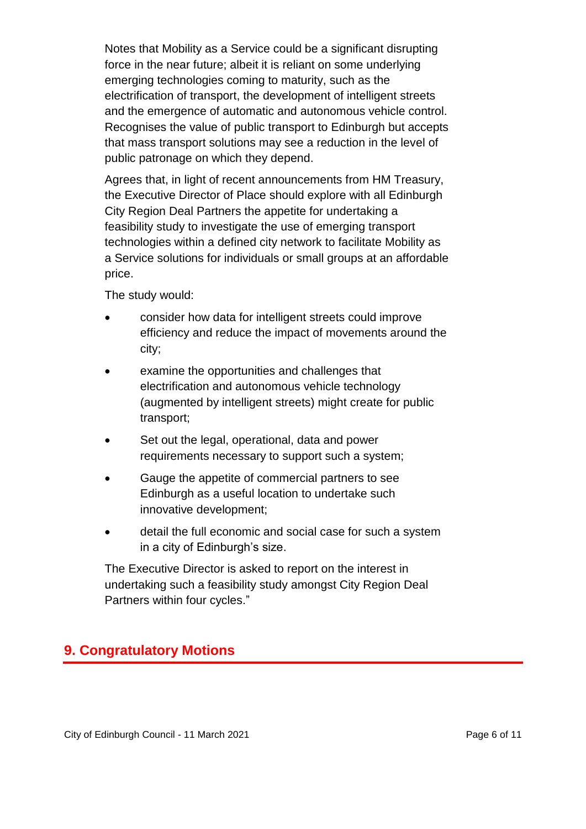Notes that Mobility as a Service could be a significant disrupting force in the near future; albeit it is reliant on some underlying emerging technologies coming to maturity, such as the electrification of transport, the development of intelligent streets and the emergence of automatic and autonomous vehicle control. Recognises the value of public transport to Edinburgh but accepts that mass transport solutions may see a reduction in the level of public patronage on which they depend.

Agrees that, in light of recent announcements from HM Treasury, the Executive Director of Place should explore with all Edinburgh City Region Deal Partners the appetite for undertaking a feasibility study to investigate the use of emerging transport technologies within a defined city network to facilitate Mobility as a Service solutions for individuals or small groups at an affordable price.

The study would:

- consider how data for intelligent streets could improve efficiency and reduce the impact of movements around the city;
- examine the opportunities and challenges that electrification and autonomous vehicle technology (augmented by intelligent streets) might create for public transport;
- Set out the legal, operational, data and power requirements necessary to support such a system;
- Gauge the appetite of commercial partners to see Edinburgh as a useful location to undertake such innovative development;
- detail the full economic and social case for such a system in a city of Edinburgh's size.

The Executive Director is asked to report on the interest in undertaking such a feasibility study amongst City Region Deal Partners within four cycles."

## **9. Congratulatory Motions**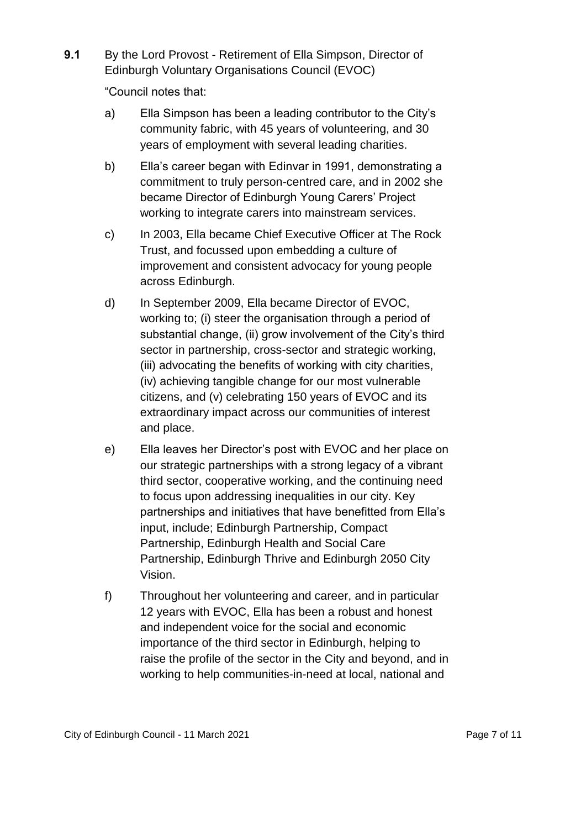**9.1** By the Lord Provost - Retirement of Ella Simpson, Director of Edinburgh Voluntary Organisations Council (EVOC)

"Council notes that:

- a) Ella Simpson has been a leading contributor to the City's community fabric, with 45 years of volunteering, and 30 years of employment with several leading charities.
- b) Ella's career began with Edinvar in 1991, demonstrating a commitment to truly person-centred care, and in 2002 she became Director of Edinburgh Young Carers' Project working to integrate carers into mainstream services.
- c) In 2003, Ella became Chief Executive Officer at The Rock Trust, and focussed upon embedding a culture of improvement and consistent advocacy for young people across Edinburgh.
- d) In September 2009, Ella became Director of EVOC, working to; (i) steer the organisation through a period of substantial change, (ii) grow involvement of the City's third sector in partnership, cross-sector and strategic working, (iii) advocating the benefits of working with city charities, (iv) achieving tangible change for our most vulnerable citizens, and (v) celebrating 150 years of EVOC and its extraordinary impact across our communities of interest and place.
- e) Ella leaves her Director's post with EVOC and her place on our strategic partnerships with a strong legacy of a vibrant third sector, cooperative working, and the continuing need to focus upon addressing inequalities in our city. Key partnerships and initiatives that have benefitted from Ella's input, include; Edinburgh Partnership, Compact Partnership, Edinburgh Health and Social Care Partnership, Edinburgh Thrive and Edinburgh 2050 City Vision.
- f) Throughout her volunteering and career, and in particular 12 years with EVOC, Ella has been a robust and honest and independent voice for the social and economic importance of the third sector in Edinburgh, helping to raise the profile of the sector in the City and beyond, and in working to help communities-in-need at local, national and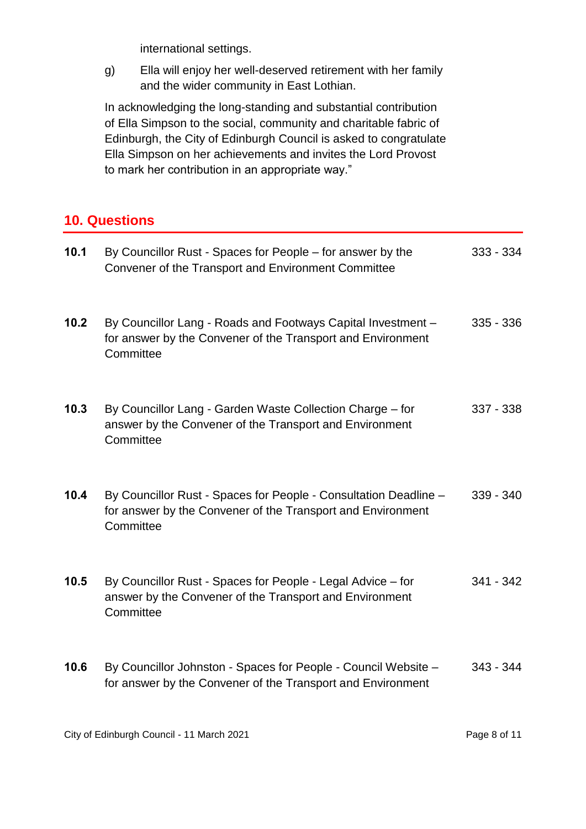international settings.

g) Ella will enjoy her well-deserved retirement with her family and the wider community in East Lothian.

In acknowledging the long-standing and substantial contribution of Ella Simpson to the social, community and charitable fabric of Edinburgh, the City of Edinburgh Council is asked to congratulate Ella Simpson on her achievements and invites the Lord Provost to mark her contribution in an appropriate way."

## **10. Questions**

| 10.1 | By Councillor Rust - Spaces for People – for answer by the<br>Convener of the Transport and Environment Committee                            | $333 - 334$ |
|------|----------------------------------------------------------------------------------------------------------------------------------------------|-------------|
| 10.2 | By Councillor Lang - Roads and Footways Capital Investment -<br>for answer by the Convener of the Transport and Environment<br>Committee     | $335 - 336$ |
| 10.3 | By Councillor Lang - Garden Waste Collection Charge - for<br>answer by the Convener of the Transport and Environment<br>Committee            | $337 - 338$ |
| 10.4 | By Councillor Rust - Spaces for People - Consultation Deadline -<br>for answer by the Convener of the Transport and Environment<br>Committee | $339 - 340$ |
| 10.5 | By Councillor Rust - Spaces for People - Legal Advice - for<br>answer by the Convener of the Transport and Environment<br>Committee          | $341 - 342$ |
| 10.6 | By Councillor Johnston - Spaces for People - Council Website -<br>for answer by the Convener of the Transport and Environment                | $343 - 344$ |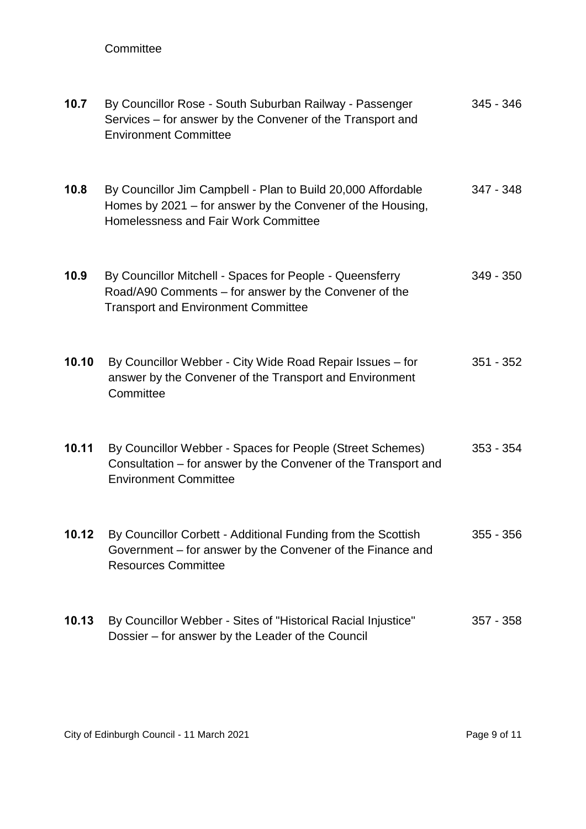#### **Committee**

| 10.7  | By Councillor Rose - South Suburban Railway - Passenger<br>Services – for answer by the Convener of the Transport and<br><b>Environment Committee</b>              | 345 - 346   |
|-------|--------------------------------------------------------------------------------------------------------------------------------------------------------------------|-------------|
| 10.8  | By Councillor Jim Campbell - Plan to Build 20,000 Affordable<br>Homes by 2021 – for answer by the Convener of the Housing,<br>Homelessness and Fair Work Committee | 347 - 348   |
| 10.9  | By Councillor Mitchell - Spaces for People - Queensferry<br>Road/A90 Comments - for answer by the Convener of the<br><b>Transport and Environment Committee</b>    | $349 - 350$ |
| 10.10 | By Councillor Webber - City Wide Road Repair Issues - for<br>answer by the Convener of the Transport and Environment<br>Committee                                  | $351 - 352$ |
| 10.11 | By Councillor Webber - Spaces for People (Street Schemes)<br>Consultation – for answer by the Convener of the Transport and<br><b>Environment Committee</b>        | $353 - 354$ |
| 10.12 | By Councillor Corbett - Additional Funding from the Scottish<br>Government – for answer by the Convener of the Finance and<br><b>Resources Committee</b>           | 355 - 356   |
| 10.13 | By Councillor Webber - Sites of "Historical Racial Injustice"<br>Dossier - for answer by the Leader of the Council                                                 | $357 - 358$ |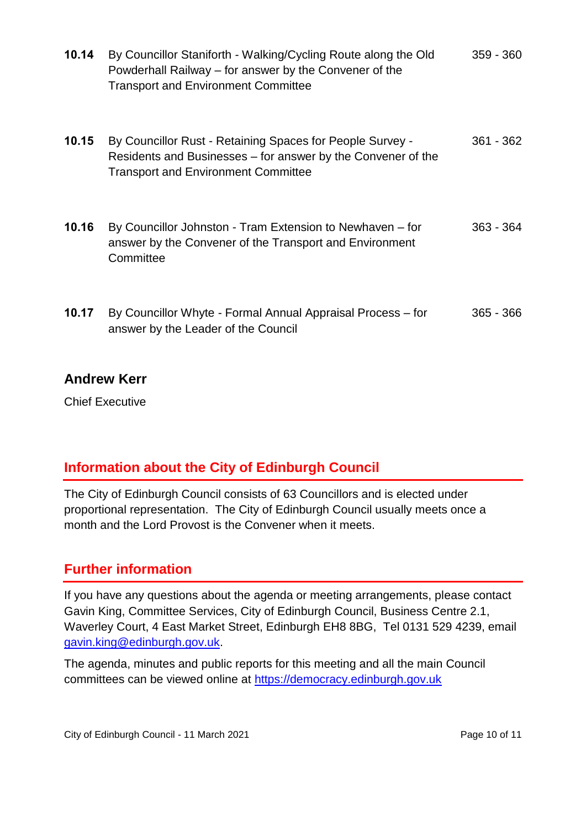| 10.14 | By Councillor Staniforth - Walking/Cycling Route along the Old<br>Powderhall Railway – for answer by the Convener of the<br><b>Transport and Environment Committee</b>  | $359 - 360$ |
|-------|-------------------------------------------------------------------------------------------------------------------------------------------------------------------------|-------------|
| 10.15 | By Councillor Rust - Retaining Spaces for People Survey -<br>Residents and Businesses – for answer by the Convener of the<br><b>Transport and Environment Committee</b> | $361 - 362$ |
| 10.16 | By Councillor Johnston - Tram Extension to Newhaven - for<br>answer by the Convener of the Transport and Environment<br>Committee                                       | $363 - 364$ |
| 10.17 | By Councillor Whyte - Formal Annual Appraisal Process – for<br>answer by the Leader of the Council                                                                      | $365 - 366$ |

## **Andrew Kerr**

Chief Executive

## **Information about the City of Edinburgh Council**

The City of Edinburgh Council consists of 63 Councillors and is elected under proportional representation. The City of Edinburgh Council usually meets once a month and the Lord Provost is the Convener when it meets.

## **Further information**

If you have any questions about the agenda or meeting arrangements, please contact Gavin King, Committee Services, City of Edinburgh Council, Business Centre 2.1, Waverley Court, 4 East Market Street, Edinburgh EH8 8BG, Tel 0131 529 4239, email [gavin.king@edinburgh.gov.uk.](mailto:gavin.king@edinburgh.gov.uk)

The agenda, minutes and public reports for this meeting and all the main Council committees can be viewed online at [https://democracy.edinburgh.gov.uk](https://democracy.edinburgh.gov.uk/)